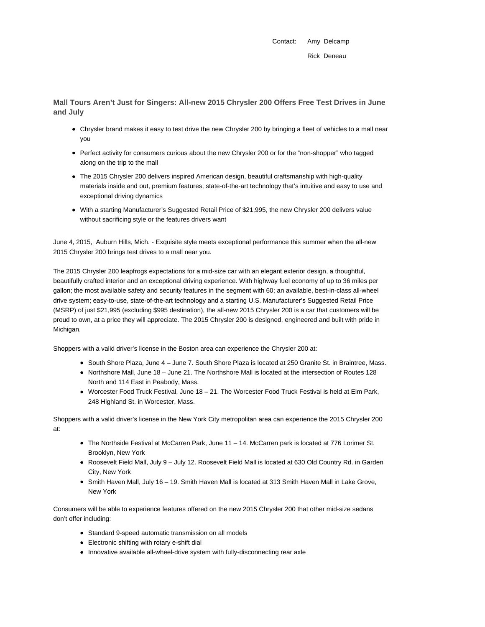Contact: Amy Delcamp Rick Deneau

**Mall Tours Aren't Just for Singers: All-new 2015 Chrysler 200 Offers Free Test Drives in June and July**

- Chrysler brand makes it easy to test drive the new Chrysler 200 by bringing a fleet of vehicles to a mall near you
- Perfect activity for consumers curious about the new Chrysler 200 or for the "non-shopper" who tagged along on the trip to the mall
- The 2015 Chrysler 200 delivers inspired American design, beautiful craftsmanship with high-quality materials inside and out, premium features, state-of-the-art technology that's intuitive and easy to use and exceptional driving dynamics
- With a starting Manufacturer's Suggested Retail Price of \$21,995, the new Chrysler 200 delivers value without sacrificing style or the features drivers want

June 4, 2015, Auburn Hills, Mich. - Exquisite style meets exceptional performance this summer when the all-new 2015 Chrysler 200 brings test drives to a mall near you.

The 2015 Chrysler 200 leapfrogs expectations for a mid-size car with an elegant exterior design, a thoughtful, beautifully crafted interior and an exceptional driving experience. With highway fuel economy of up to 36 miles per gallon; the most available safety and security features in the segment with 60; an available, best-in-class all-wheel drive system; easy-to-use, state-of-the-art technology and a starting U.S. Manufacturer's Suggested Retail Price (MSRP) of just \$21,995 (excluding \$995 destination), the all-new 2015 Chrysler 200 is a car that customers will be proud to own, at a price they will appreciate. The 2015 Chrysler 200 is designed, engineered and built with pride in Michigan.

Shoppers with a valid driver's license in the Boston area can experience the Chrysler 200 at:

- South Shore Plaza, June 4 June 7. South Shore Plaza is located at 250 Granite St. in Braintree, Mass.
- Northshore Mall, June 18 June 21. The Northshore Mall is located at the intersection of Routes 128 North and 114 East in Peabody, Mass.
- Worcester Food Truck Festival, June 18 21. The Worcester Food Truck Festival is held at Elm Park, 248 Highland St. in Worcester, Mass.

Shoppers with a valid driver's license in the New York City metropolitan area can experience the 2015 Chrysler 200 at:

- The Northside Festival at McCarren Park, June 11 14. McCarren park is located at 776 Lorimer St. Brooklyn, New York
- Roosevelt Field Mall, July 9 July 12. Roosevelt Field Mall is located at 630 Old Country Rd. in Garden City, New York
- Smith Haven Mall, July 16 19. Smith Haven Mall is located at 313 Smith Haven Mall in Lake Grove, New York

Consumers will be able to experience features offered on the new 2015 Chrysler 200 that other mid-size sedans don't offer including:

- Standard 9-speed automatic transmission on all models
- Electronic shifting with rotary e-shift dial
- Innovative available all-wheel-drive system with fully-disconnecting rear axle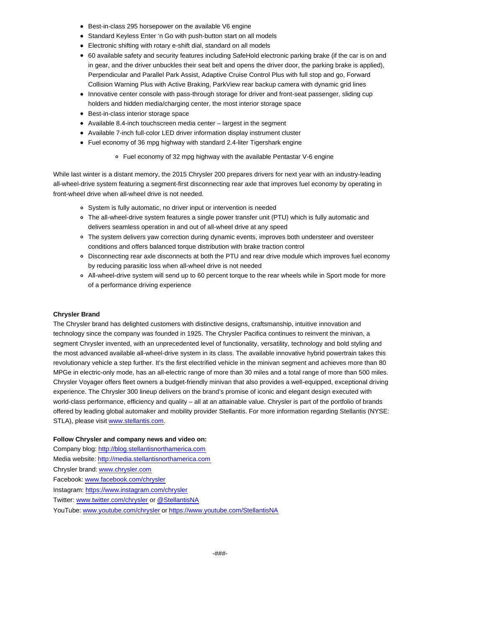- Best-in-class 295 horsepower on the available V6 engine
- Standard Keyless Enter 'n Go with push-button start on all models
- Electronic shifting with rotary e-shift dial, standard on all models
- 60 available safety and security features including SafeHold electronic parking brake (if the car is on and in gear, and the driver unbuckles their seat belt and opens the driver door, the parking brake is applied), Perpendicular and Parallel Park Assist, Adaptive Cruise Control Plus with full stop and go, Forward Collision Warning Plus with Active Braking, ParkView rear backup camera with dynamic grid lines
- Innovative center console with pass-through storage for driver and front-seat passenger, sliding cup holders and hidden media/charging center, the most interior storage space
- Best-in-class interior storage space
- Available 8.4-inch touchscreen media center largest in the segment
- Available 7-inch full-color LED driver information display instrument cluster
- Fuel economy of 36 mpg highway with standard 2.4-liter Tigershark engine
	- Fuel economy of 32 mpg highway with the available Pentastar V-6 engine

While last winter is a distant memory, the 2015 Chrysler 200 prepares drivers for next year with an industry-leading all-wheel-drive system featuring a segment-first disconnecting rear axle that improves fuel economy by operating in front-wheel drive when all-wheel drive is not needed.

- System is fully automatic, no driver input or intervention is needed
- The all-wheel-drive system features a single power transfer unit (PTU) which is fully automatic and delivers seamless operation in and out of all-wheel drive at any speed
- The system delivers yaw correction during dynamic events, improves both understeer and oversteer conditions and offers balanced torque distribution with brake traction control
- Disconnecting rear axle disconnects at both the PTU and rear drive module which improves fuel economy by reducing parasitic loss when all-wheel drive is not needed
- All-wheel-drive system will send up to 60 percent torque to the rear wheels while in Sport mode for more of a performance driving experience

## **Chrysler Brand**

The Chrysler brand has delighted customers with distinctive designs, craftsmanship, intuitive innovation and technology since the company was founded in 1925. The Chrysler Pacifica continues to reinvent the minivan, a segment Chrysler invented, with an unprecedented level of functionality, versatility, technology and bold styling and the most advanced available all-wheel-drive system in its class. The available innovative hybrid powertrain takes this revolutionary vehicle a step further. It's the first electrified vehicle in the minivan segment and achieves more than 80 MPGe in electric-only mode, has an all-electric range of more than 30 miles and a total range of more than 500 miles. Chrysler Voyager offers fleet owners a budget-friendly minivan that also provides a well-equipped, exceptional driving experience. The Chrysler 300 lineup delivers on the brand's promise of iconic and elegant design executed with world-class performance, efficiency and quality – all at an attainable value. Chrysler is part of the portfolio of brands offered by leading global automaker and mobility provider Stellantis. For more information regarding Stellantis (NYSE: STLA), please visit www.stellantis.com.

## **Follow Chrysler and company news and video on:**

Company blog: http://blog.stellantisnorthamerica.com Media website: http://media.stellantisnorthamerica.com Chrysler brand: www.chrysler.com Facebook: www.facebook.com/chrysler Instagram: https://www.instagram.com/chrysler Twitter: www.twitter.com/chrysler or @StellantisNA YouTube: www.youtube.com/chrysler or https://www.youtube.com/StellantisNA